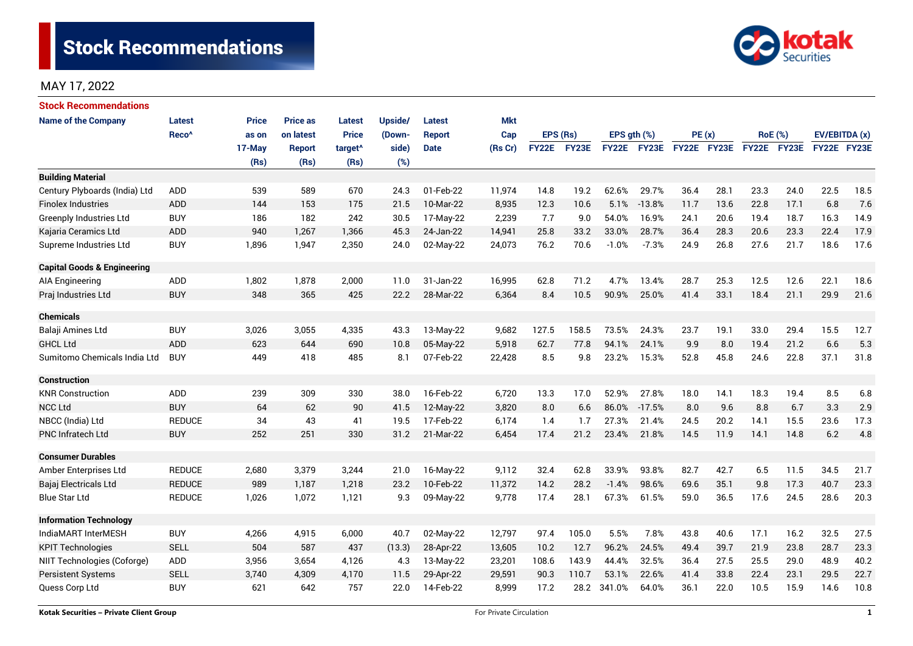

# MAY 17, 2022

| Stock Recommendations                  |                   |              |                 |                     |                                                                                |               |            |          |             |             |             |             |      |                |      |               |      |
|----------------------------------------|-------------------|--------------|-----------------|---------------------|--------------------------------------------------------------------------------|---------------|------------|----------|-------------|-------------|-------------|-------------|------|----------------|------|---------------|------|
| <b>Name of the Company</b>             | <b>Latest</b>     | <b>Price</b> | <b>Price as</b> | <b>Latest</b>       | Upside/                                                                        | <b>Latest</b> | <b>Mkt</b> |          |             |             |             |             |      |                |      |               |      |
|                                        | Reco <sup>^</sup> | as on        | on latest       | <b>Price</b>        | (Down-                                                                         | <b>Report</b> | Cap        | EPS (Rs) |             | EPS gth (%) |             | PE(x)       |      | <b>RoE</b> (%) |      | EV/EBITDA (x) |      |
|                                        |                   | 17-May       | Report          | target <sup>^</sup> | side)                                                                          | <b>Date</b>   | (Rs Cr)    |          | FY22E FY23E |             | FY22E FY23E | FY22E FY23E |      | FY22E FY23E    |      | FY22E FY23E   |      |
|                                        |                   | (Rs)         | (Rs)            | (Rs)                | (%)                                                                            |               |            |          |             |             |             |             |      |                |      |               |      |
| <b>Building Material</b>               |                   |              |                 |                     |                                                                                |               |            |          |             |             |             |             |      |                |      |               |      |
| Century Plyboards (India) Ltd          | ADD               | 539          | 589             | 670                 | 24.3                                                                           | 01-Feb-22     | 11,974     | 14.8     | 19.2        | 62.6%       | 29.7%       | 36.4        | 28.1 | 23.3           | 24.0 | 22.5          | 18.5 |
| <b>Finolex Industries</b>              | <b>ADD</b>        | 144          | 153             | 175                 | 21.5                                                                           | 10-Mar-22     | 8,935      | 12.3     | 10.6        | 5.1%        | $-13.8%$    | 11.7        | 13.6 | 22.8           | 17.1 | 6.8           | 7.6  |
| <b>Greenply Industries Ltd</b>         | <b>BUY</b>        | 186          | 182             | 242                 | 30.5                                                                           | 17-May-22     | 2,239      | 7.7      | 9.0         | 54.0%       | 16.9%       | 24.1        | 20.6 | 19.4           | 18.7 | 16.3          | 14.9 |
| Kajaria Ceramics Ltd                   | <b>ADD</b>        | 940          | 1,267           | 1,366               | 45.3                                                                           | 24-Jan-22     | 14,941     | 25.8     | 33.2        | 33.0%       | 28.7%       | 36.4        | 28.3 | 20.6           | 23.3 | 22.4          | 17.9 |
| Supreme Industries Ltd                 | <b>BUY</b>        | 1,896        | 1,947           | 2,350               | 24.0                                                                           | 02-May-22     | 24,073     | 76.2     | 70.6        | $-1.0%$     | $-7.3%$     | 24.9        | 26.8 | 27.6           | 21.7 | 18.6          | 17.6 |
| <b>Capital Goods &amp; Engineering</b> |                   |              |                 |                     |                                                                                |               |            |          |             |             |             |             |      |                |      |               |      |
| <b>AIA Engineering</b>                 | ADD               | 1,802        | 1,878           | 2,000               | 11.0                                                                           | 31-Jan-22     | 16,995     | 62.8     | 71.2        | 4.7%        | 13.4%       | 28.7        | 25.3 | 12.5           | 12.6 | 22.1          | 18.6 |
| Praj Industries Ltd                    | <b>BUY</b>        | 348          | 365             | 425                 | 22.2                                                                           | 28-Mar-22     | 6,364      | 8.4      | 10.5        | 90.9%       | 25.0%       | 41.4        | 33.1 | 18.4           | 21.1 | 29.9          | 21.6 |
| <b>Chemicals</b>                       |                   |              |                 |                     |                                                                                |               |            |          |             |             |             |             |      |                |      |               |      |
| Balaji Amines Ltd                      | <b>BUY</b>        | 3,026        | 3,055           | 4,335               | 43.3                                                                           | 13-May-22     | 9,682      | 127.5    | 158.5       | 73.5%       | 24.3%       | 23.7        | 19.1 | 33.0           | 29.4 | 15.5          | 12.7 |
| <b>GHCL Ltd</b>                        | <b>ADD</b>        | 623          | 644             | 690                 | 10.8                                                                           | 05-May-22     | 5,918      | 62.7     | 77.8        | 94.1%       | 24.1%       | 9.9         | 8.0  | 19.4           | 21.2 | 6.6           | 5.3  |
| Sumitomo Chemicals India Ltd           | <b>BUY</b>        | 449          | 418             | 485                 | 8.1                                                                            | 07-Feb-22     | 22,428     | 8.5      | 9.8         | 23.2%       | 15.3%       | 52.8        | 45.8 | 24.6           | 22.8 | 37.1          | 31.8 |
| <b>Construction</b>                    |                   |              |                 |                     |                                                                                |               |            |          |             |             |             |             |      |                |      |               |      |
| <b>KNR Construction</b>                | ADD               | 239          | 309             | 330                 | 38.0                                                                           | 16-Feb-22     | 6,720      | 13.3     | 17.0        | 52.9%       | 27.8%       | 18.0        | 14.1 | 18.3           | 19.4 | 8.5           | 6.8  |
| <b>NCC Ltd</b>                         | <b>BUY</b>        | 64           | 62              | 90                  | 41.5                                                                           | 12-May-22     | 3,820      | 8.0      | 6.6         | 86.0%       | $-17.5%$    | 8.0         | 9.6  | 8.8            | 6.7  | 3.3           | 2.9  |
| NBCC (India) Ltd                       | <b>REDUCE</b>     | 34           | 43              | 41                  | 19.5                                                                           | 17-Feb-22     | 6,174      | 1.4      | 1.7         | 27.3%       | 21.4%       | 24.5        | 20.2 | 14.1           | 15.5 | 23.6          | 17.3 |
| <b>PNC Infratech Ltd</b>               | <b>BUY</b>        | 252          | 251             | 330                 | 31.2                                                                           | 21-Mar-22     | 6,454      | 17.4     | 21.2        | 23.4%       | 21.8%       | 14.5        | 11.9 | 14.1           | 14.8 | 6.2           | 4.8  |
| <b>Consumer Durables</b>               |                   |              |                 |                     |                                                                                |               |            |          |             |             |             |             |      |                |      |               |      |
| Amber Enterprises Ltd                  | <b>REDUCE</b>     | 2,680        | 3,379           | 3,244               | 21.0                                                                           | 16-May-22     | 9,112      | 32.4     | 62.8        | 33.9%       | 93.8%       | 82.7        | 42.7 | 6.5            | 11.5 | 34.5          | 21.7 |
| Bajaj Electricals Ltd                  | <b>REDUCE</b>     | 989          | 1,187           | 1,218               | 23.2                                                                           | 10-Feb-22     | 11,372     | 14.2     | 28.2        | $-1.4%$     | 98.6%       | 69.6        | 35.1 | 9.8            | 17.3 | 40.7          | 23.3 |
| <b>Blue Star Ltd</b>                   | <b>REDUCE</b>     | 1,026        | 1,072           | 1,121               | 9.3                                                                            | 09-May-22     | 9,778      | 17.4     | 28.1        | 67.3%       | 61.5%       | 59.0        | 36.5 | 17.6           | 24.5 | 28.6          | 20.3 |
| <b>Information Technology</b>          |                   |              |                 |                     |                                                                                |               |            |          |             |             |             |             |      |                |      |               |      |
| IndiaMART InterMESH                    | <b>BUY</b>        | 4,266        | 4,915           | 6,000               | 40.7                                                                           | 02-May-22     | 12,797     | 97.4     | 105.0       | 5.5%        | 7.8%        | 43.8        | 40.6 | 17.1           | 16.2 | 32.5          | 27.5 |
| <b>KPIT Technologies</b>               | <b>SELL</b>       | 504          | 587             | 437                 | (13.3)                                                                         | 28-Apr-22     | 13,605     | 10.2     | 12.7        | 96.2%       | 24.5%       | 49.4        | 39.7 | 21.9           | 23.8 | 28.7<br>23.3  |      |
| NIIT Technologies (Coforge)            | ADD               | 3,956        | 3,654           | 4,126               | 143.9<br>44.4%<br>32.5%<br>27.5<br>4.3<br>13-May-22<br>23,201<br>108.6<br>36.4 |               | 25.5       | 29.0     | 48.9        | 40.2        |             |             |      |                |      |               |      |
| <b>Persistent Systems</b>              | <b>SELL</b>       | 3,740        | 4,309           | 4,170               | 11.5                                                                           | 29-Apr-22     | 29,591     | 90.3     | 110.7       | 53.1%       | 22.6%       | 41.4        | 33.8 | 22.4           | 23.1 | 29.5          | 22.7 |
| Quess Corp Ltd                         | <b>BUY</b>        | 621          | 642             | 757                 | 22.0                                                                           | 14-Feb-22     | 8,999      | 17.2     | 28.2        | 341.0%      | 64.0%       | 36.1        | 22.0 | 10.5           | 15.9 | 14.6          | 10.8 |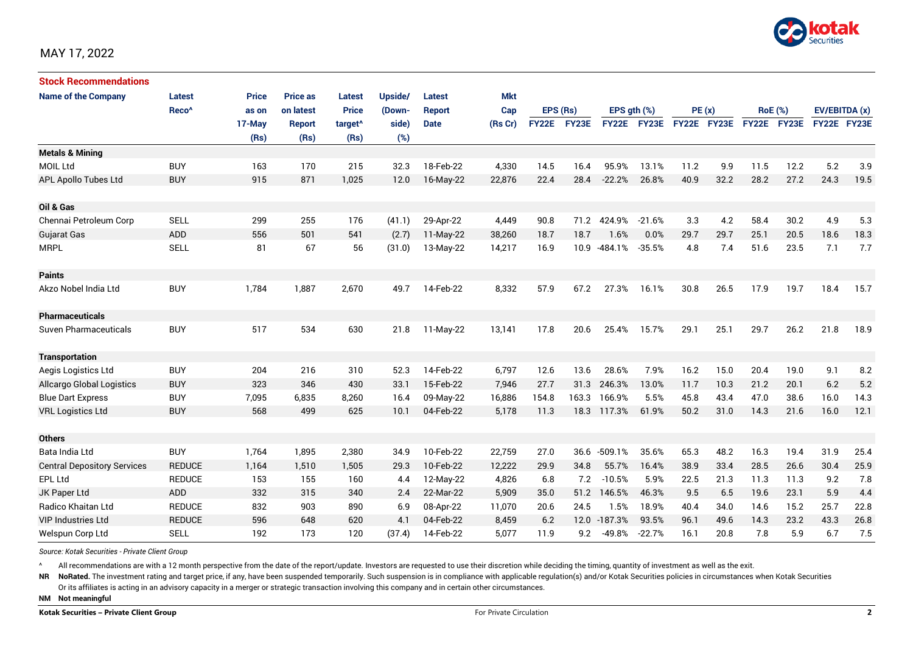

| <b>Stock Recommendations</b>       |                   |              |                 |                     |         |               |            |              |       |              |          |             |      |                |             |               |      |
|------------------------------------|-------------------|--------------|-----------------|---------------------|---------|---------------|------------|--------------|-------|--------------|----------|-------------|------|----------------|-------------|---------------|------|
| <b>Name of the Company</b>         | <b>Latest</b>     | <b>Price</b> | <b>Price as</b> | <b>Latest</b>       | Upside/ | <b>Latest</b> | <b>Mkt</b> |              |       |              |          |             |      |                |             |               |      |
|                                    | Reco <sup>^</sup> | as on        | on latest       | <b>Price</b>        | (Down-  | <b>Report</b> | Cap        | EPS (Rs)     |       | EPS ath (%)  |          | PE(x)       |      | <b>RoE</b> (%) |             | EV/EBITDA (x) |      |
|                                    |                   | 17-May       | Report          | target <sup>^</sup> | side)   | <b>Date</b>   | (Rs Cr)    | <b>FY22E</b> | FY23E | <b>FY22E</b> | FY23E    | FY22E FY23E |      |                | FY22E FY23E | FY22E FY23E   |      |
|                                    |                   | (Rs)         | (Rs)            | (Rs)                | (%)     |               |            |              |       |              |          |             |      |                |             |               |      |
| <b>Metals &amp; Mining</b>         |                   |              |                 |                     |         |               |            |              |       |              |          |             |      |                |             |               |      |
| <b>MOIL Ltd</b>                    | <b>BUY</b>        | 163          | 170             | 215                 | 32.3    | 18-Feb-22     | 4,330      | 14.5         | 16.4  | 95.9%        | 13.1%    | 11.2        | 9.9  | 11.5           | 12.2        | 5.2           | 3.9  |
| APL Apollo Tubes Ltd               | <b>BUY</b>        | 915          | 871             | 1.025               | 12.0    | 16-May-22     | 22,876     | 22.4         | 28.4  | $-22.2%$     | 26.8%    | 40.9        | 32.2 | 28.2           | 27.2        | 24.3          | 19.5 |
| Oil & Gas                          |                   |              |                 |                     |         |               |            |              |       |              |          |             |      |                |             |               |      |
| Chennai Petroleum Corp             | <b>SELL</b>       | 299          | 255             | 176                 | (41.1)  | 29-Apr-22     | 4,449      | 90.8         | 71.2  | 424.9%       | $-21.6%$ | 3.3         | 4.2  | 58.4           | 30.2        | 4.9           | 5.3  |
| Gujarat Gas                        | <b>ADD</b>        | 556          | 501             | 541                 | (2.7)   | $11-May-22$   | 38,260     | 18.7         | 18.7  | 1.6%         | 0.0%     | 29.7        | 29.7 | 25.1           | 20.5        | 18.6          | 18.3 |
| <b>MRPL</b>                        | <b>SELL</b>       | 81           | 67              | 56                  | (31.0)  | 13-May-22     | 14,217     | 16.9         | 10.9  | $-484.1%$    | $-35.5%$ | 4.8         | 7.4  | 51.6           | 23.5        | 7.1           | 7.7  |
| <b>Paints</b>                      |                   |              |                 |                     |         |               |            |              |       |              |          |             |      |                |             |               |      |
| Akzo Nobel India Ltd               | <b>BUY</b>        | 1,784        | 1,887           | 2,670               | 49.7    | 14-Feb-22     | 8,332      | 57.9         | 67.2  | 27.3%        | 16.1%    | 30.8        | 26.5 | 17.9           | 19.7        | 18.4          | 15.7 |
| <b>Pharmaceuticals</b>             |                   |              |                 |                     |         |               |            |              |       |              |          |             |      |                |             |               |      |
| Suven Pharmaceuticals              | <b>BUY</b>        | 517          | 534             | 630                 | 21.8    | 11-May-22     | 13,141     | 17.8         | 20.6  | 25.4%        | 15.7%    | 29.1        | 25.1 | 29.7           | 26.2        | 21.8          | 18.9 |
| <b>Transportation</b>              |                   |              |                 |                     |         |               |            |              |       |              |          |             |      |                |             |               |      |
| Aegis Logistics Ltd                | <b>BUY</b>        | 204          | 216             | 310                 | 52.3    | 14-Feb-22     | 6,797      | 12.6         | 13.6  | 28.6%        | 7.9%     | 16.2        | 15.0 | 20.4           | 19.0        | 9.1           | 8.2  |
| <b>Allcargo Global Logistics</b>   | <b>BUY</b>        | 323          | 346             | 430                 | 33.1    | 15-Feb-22     | 7,946      | 27.7         | 31.3  | 246.3%       | 13.0%    | 11.7        | 10.3 | 21.2           | 20.1        | 6.2           | 5.2  |
| <b>Blue Dart Express</b>           | <b>BUY</b>        | 7,095        | 6,835           | 8,260               | 16.4    | 09-May-22     | 16,886     | 154.8        | 163.3 | 166.9%       | 5.5%     | 45.8        | 43.4 | 47.0           | 38.6        | 16.0          | 14.3 |
| <b>VRL Logistics Ltd</b>           | <b>BUY</b>        | 568          | 499             | 625                 | 10.1    | 04-Feb-22     | 5,178      | 11.3         | 18.3  | 117.3%       | 61.9%    | 50.2        | 31.0 | 14.3           | 21.6        | 16.0          | 12.1 |
| <b>Others</b>                      |                   |              |                 |                     |         |               |            |              |       |              |          |             |      |                |             |               |      |
| Bata India Ltd                     | <b>BUY</b>        | 1,764        | 1,895           | 2,380               | 34.9    | 10-Feb-22     | 22,759     | 27.0         | 36.6  | $-509.1%$    | 35.6%    | 65.3        | 48.2 | 16.3           | 19.4        | 31.9          | 25.4 |
| <b>Central Depository Services</b> | <b>REDUCE</b>     | 1,164        | 1,510           | 1,505               | 29.3    | 10-Feb-22     | 12,222     | 29.9         | 34.8  | 55.7%        | 16.4%    | 38.9        | 33.4 | 28.5           | 26.6        | 30.4          | 25.9 |
| EPL Ltd                            | <b>REDUCE</b>     | 153          | 155             | 160                 | 4.4     | 12-May-22     | 4,826      | 6.8          | 7.2   | $-10.5%$     | 5.9%     | 22.5        | 21.3 | 11.3           | 11.3        | 9.2           | 7.8  |
| JK Paper Ltd                       | ADD               | 332          | 315             | 340                 | 2.4     | 22-Mar-22     | 5,909      | 35.0         | 51.2  | 146.5%       | 46.3%    | 9.5         | 6.5  | 19.6           | 23.1        | 5.9           | 4.4  |
| Radico Khaitan Ltd                 | <b>REDUCE</b>     | 832          | 903             | 890                 | 6.9     | 08-Apr-22     | 11,070     | 20.6         | 24.5  | 1.5%         | 18.9%    | 40.4        | 34.0 | 14.6           | 15.2        | 25.7          | 22.8 |
| <b>VIP Industries Ltd</b>          | <b>REDUCE</b>     | 596          | 648             | 620                 | 4.1     | 04-Feb-22     | 8,459      | 6.2          |       | 12.0 -187.3% | 93.5%    | 96.1        | 49.6 | 14.3           | 23.2        | 43.3          | 26.8 |
| Welspun Corp Ltd                   | <b>SELL</b>       | 192          | 173             | 120                 | (37.4)  | 14-Feb-22     | 5,077      | 11.9         | 9.2   | $-49.8%$     | $-22.7%$ | 16.1        | 20.8 | 7.8            | 5.9         | 6.7           | 7.5  |

*Source: Kotak Securities - Private Client Group*

All recommendations are with a 12 month perspective from the date of the report/update. Investors are requested to use their discretion while deciding the timing, quantity of investment as well as the exit.

NR NoRated. The investment rating and target price, if any, have been suspended temporarily. Such suspension is in compliance with applicable regulation(s) and/or Kotak Securities policies in circumstances when Kotak Secur

Or its affiliates is acting in an advisory capacity in a merger or strategic transaction involving this company and in certain other circumstances.

**NM Not meaningful**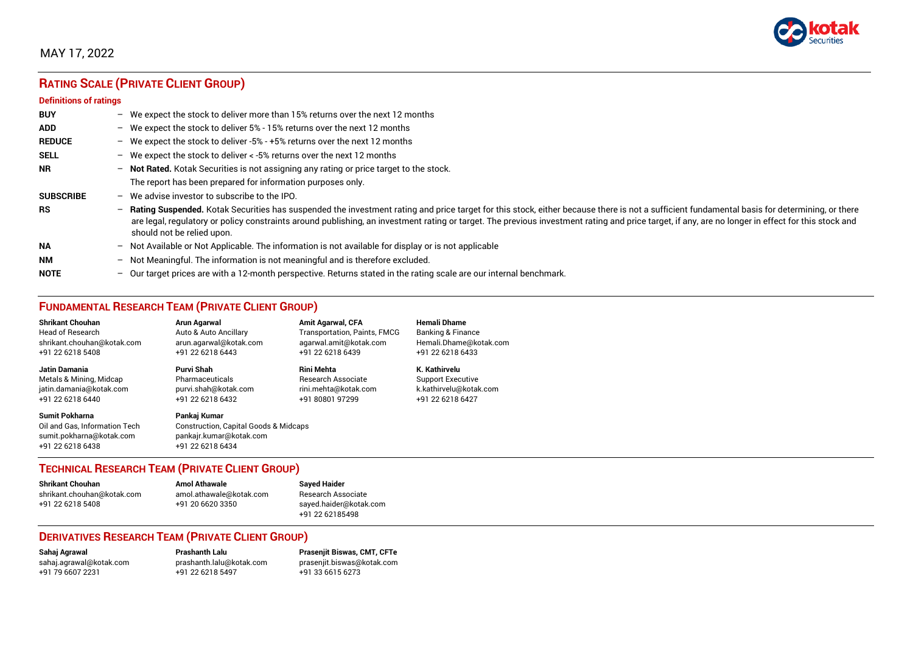

## MAY 17, 2022

# **RATING SCALE (PRIVATE CLIENT GROUP)**

#### **Definitions of ratings**

| <b>BUY</b>       | $\overline{\phantom{0}}$ | We expect the stock to deliver more than 15% returns over the next 12 months                                                                                                                                                                                                                                                                                                                                                     |
|------------------|--------------------------|----------------------------------------------------------------------------------------------------------------------------------------------------------------------------------------------------------------------------------------------------------------------------------------------------------------------------------------------------------------------------------------------------------------------------------|
| <b>ADD</b>       |                          | - We expect the stock to deliver $5\%$ - 15% returns over the next 12 months                                                                                                                                                                                                                                                                                                                                                     |
| <b>REDUCE</b>    | $-$                      | We expect the stock to deliver -5% - +5% returns over the next 12 months                                                                                                                                                                                                                                                                                                                                                         |
| <b>SELL</b>      |                          | - We expect the stock to deliver $\lt$ -5% returns over the next 12 months                                                                                                                                                                                                                                                                                                                                                       |
| <b>NR</b>        | $-$                      | Not Rated. Kotak Securities is not assigning any rating or price target to the stock.                                                                                                                                                                                                                                                                                                                                            |
|                  |                          | The report has been prepared for information purposes only.                                                                                                                                                                                                                                                                                                                                                                      |
| <b>SUBSCRIBE</b> | $\overline{\phantom{0}}$ | We advise investor to subscribe to the IPO.                                                                                                                                                                                                                                                                                                                                                                                      |
| <b>RS</b>        | $-$                      | Rating Suspended. Kotak Securities has suspended the investment rating and price target for this stock, either because there is not a sufficient fundamental basis for determining, or there<br>are legal, regulatory or policy constraints around publishing, an investment rating or target. The previous investment rating and price target, if any, are no longer in effect for this stock and<br>should not be relied upon. |
| <b>NA</b>        |                          | $-$ Not Available or Not Applicable. The information is not available for display or is not applicable                                                                                                                                                                                                                                                                                                                           |
| <b>NM</b>        | $-$                      | Not Meaningful. The information is not meaningful and is therefore excluded.                                                                                                                                                                                                                                                                                                                                                     |
| <b>NOTE</b>      | $-$                      | Our target prices are with a 12-month perspective. Returns stated in the rating scale are our internal benchmark.                                                                                                                                                                                                                                                                                                                |

## **FUNDAMENTAL RESEARCH TEAM (PRIVATE CLIENT GROUP)**

| <b>Shrikant Chouhan</b>                                                                                | <b>Arun Agarwal</b>                                                                                  | <b>Amit Agarwal, CFA</b>            | <b>Hemali Dhame</b>      |
|--------------------------------------------------------------------------------------------------------|------------------------------------------------------------------------------------------------------|-------------------------------------|--------------------------|
| <b>Head of Research</b>                                                                                | Auto & Auto Ancillary                                                                                | <b>Transportation, Paints, FMCG</b> | Banking & Finance        |
| shrikant.chouhan@kotak.com                                                                             | arun.agarwal@kotak.com                                                                               | agarwal.amit@kotak.com              | Hemali.Dhame@kotak.com   |
| +91 22 6218 5408                                                                                       | +91 22 6218 6443                                                                                     | +91 22 6218 6439                    | +91 22 6218 6433         |
| <b>Jatin Damania</b>                                                                                   | Purvi Shah                                                                                           | <b>Rini Mehta</b>                   | K. Kathirvelu            |
| Metals & Mining, Midcap                                                                                | Pharmaceuticals                                                                                      | <b>Research Associate</b>           | <b>Support Executive</b> |
| jatin.damania@kotak.com                                                                                | purvi.shah@kotak.com                                                                                 | rini.mehta@kotak.com                | k.kathirvelu@kotak.com   |
| +91 22 6218 6440                                                                                       | +91 22 6218 6432                                                                                     | +91 80801 97299                     | +91 22 6218 6427         |
| <b>Sumit Pokharna</b><br>Oil and Gas, Information Tech<br>sumit.pokharna@kotak.com<br>+91 22 6218 6438 | Pankaj Kumar<br>Construction, Capital Goods & Midcaps<br>pankajr.kumar@kotak.com<br>+91 22 6218 6434 |                                     |                          |

### **TECHNICAL RESEARCH TEAM (PRIVATE CLIENT GROUP)**

| <b>Shrikant Chouhan</b>    | <b>Amol Athawale</b>    |  |
|----------------------------|-------------------------|--|
| shrikant.chouhan@kotak.com | amol.athawale@kotak.com |  |
| +91 22 6218 5408           | +91 20 6620 3350        |  |
|                            |                         |  |

**Sayed Haider** Research Associate [sayed.haider@kotak.com](mailto:sayed.haider@kotak.com) +91 22 62185498

### **DERIVATIVES RESEARCH TEAM (PRIVATE CLIENT GROUP)**

+91 22 6218 5497 +91 33 6615 6273

**Sahaj Agrawal Prashanth Lalu Prasenjit Biswas, CMT, CFTe** [sahaj.agrawal@kotak.com](mailto:sahaj.agrawal@kotak.com) [prashanth.lalu@kotak.com](mailto:prashanth.lalu@kotak.com) [prasenjit.biswas@kotak.com](mailto:prasenjit.biswas@kotak.com)